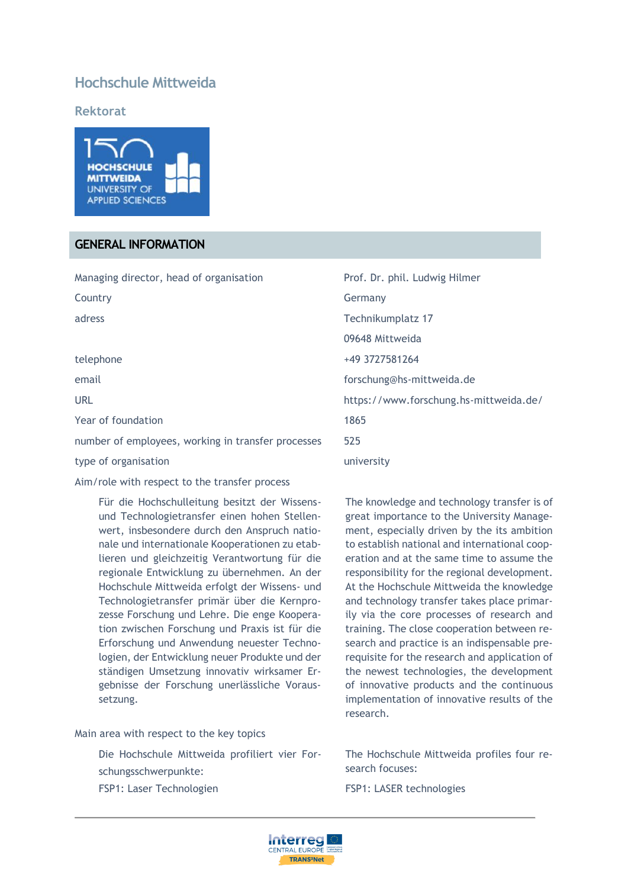# **Hochschule Mittweida**

**Rektorat** 



#### **GENERAL INFORMATION**

| Managing director, head of organisation            | Prof. Dr. phil. Ludwig Hilmer          |
|----------------------------------------------------|----------------------------------------|
| Country                                            | Germany                                |
| adress                                             | Technikumplatz 17                      |
|                                                    | 09648 Mittweida                        |
| telephone                                          | +49 3727581264                         |
| email                                              | forschung@hs-mittweida.de              |
| <b>URL</b>                                         | https://www.forschung.hs-mittweida.de/ |
| Year of foundation                                 | 1865                                   |
| number of employees, working in transfer processes | 525                                    |
| type of organisation                               | university                             |

Aim/role with respect to the transfer process

Für die Hochschulleitung besitzt der Wissensund Technologietransfer einen hohen Stellenwert, insbesondere durch den Anspruch nationale und internationale Kooperationen zu etablieren und gleichzeitig Verantwortung für die regionale Entwicklung zu übernehmen. An der Hochschule Mittweida erfolgt der Wissens- und Technologietransfer primär über die Kernprozesse Forschung und Lehre. Die enge Kooperation zwischen Forschung und Praxis ist für die Erforschung und Anwendung neuester Technologien, der Entwicklung neuer Produkte und der ständigen Umsetzung innovativ wirksamer Ergebnisse der Forschung unerlässliche Voraussetzung.

Main area with respect to the key topics

Die Hochschule Mittweida profiliert vier Forschungsschwerpunkte:

FSP1: Laser Technologien

The knowledge and technology transfer is of great importance to the University Management, especially driven by the its ambition to establish national and international cooperation and at the same time to assume the responsibility for the regional development. At the Hochschule Mittweida the knowledge and technology transfer takes place primarily via the core processes of research and training. The close cooperation between research and practice is an indispensable prerequisite for the research and application of the newest technologies, the development of innovative products and the continuous implementation of innovative results of the research.

The Hochschule Mittweida profiles four research focuses:

FSP1: LASER technologies

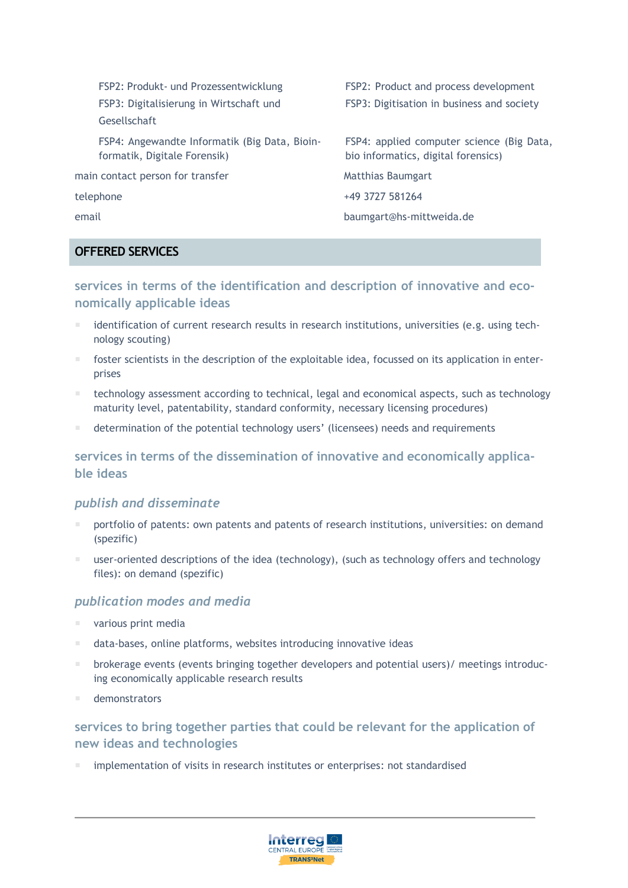FSP2: Produkt- und Prozessentwicklung FSP3: Digitalisierung in Wirtschaft und Gesellschaft

FSP4: Angewandte Informatik (Big Data, Bioinformatik, Digitale Forensik)

main contact person for transfer Matthias Baumgart

FSP2: Product and process development FSP3: Digitisation in business and society

FSP4: applied computer science (Big Data, bio informatics, digital forensics)

telephone +49 3727 581264

email baumgart@hs-mittweida.de

# **OFFERED SERVICES**

**services in terms of the identification and description of innovative and economically applicable ideas**

- identification of current research results in research institutions, universities (e.g. using technology scouting)
- foster scientists in the description of the exploitable idea, focussed on its application in enterprises
- technology assessment according to technical, legal and economical aspects, such as technology maturity level, patentability, standard conformity, necessary licensing procedures)
- determination of the potential technology users' (licensees) needs and requirements

# **services in terms of the dissemination of innovative and economically applicable ideas**

# *publish and disseminate*

- portfolio of patents: own patents and patents of research institutions, universities: on demand (spezific)
- user-oriented descriptions of the idea (technology), (such as technology offers and technology files): on demand (spezific)

# *publication modes and media*

- various print media
- data-bases, online platforms, websites introducing innovative ideas
- brokerage events (events bringing together developers and potential users)/ meetings introducing economically applicable research results
- demonstrators

# **services to bring together parties that could be relevant for the application of new ideas and technologies**

implementation of visits in research institutes or enterprises: not standardised

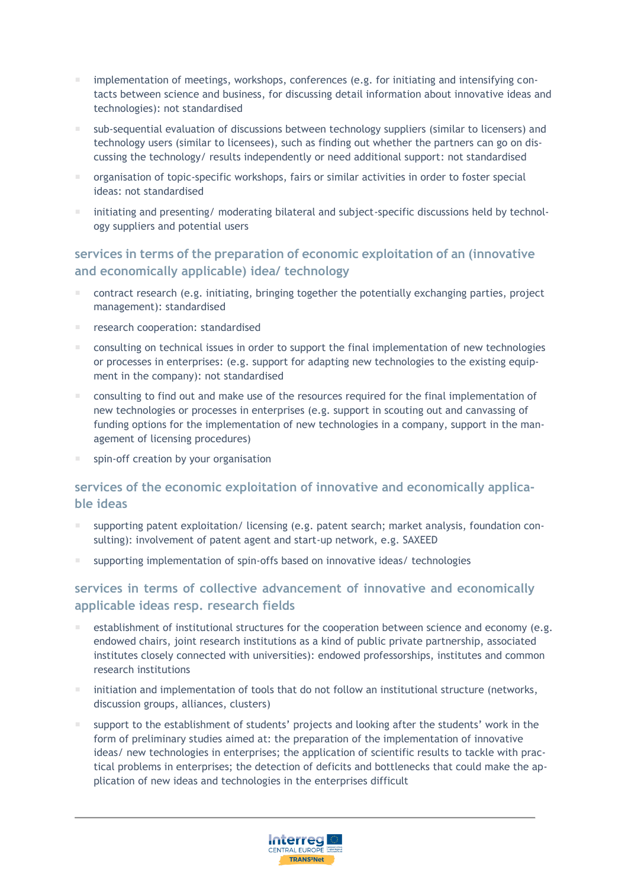- implementation of meetings, workshops, conferences (e.g. for initiating and intensifying contacts between science and business, for discussing detail information about innovative ideas and technologies): not standardised
- sub-sequential evaluation of discussions between technology suppliers (similar to licensers) and technology users (similar to licensees), such as finding out whether the partners can go on discussing the technology/ results independently or need additional support: not standardised
- organisation of topic-specific workshops, fairs or similar activities in order to foster special ideas: not standardised
- initiating and presenting/ moderating bilateral and subject-specific discussions held by technology suppliers and potential users

#### **services in terms of the preparation of economic exploitation of an (innovative and economically applicable) idea/ technology**

- contract research (e.g. initiating, bringing together the potentially exchanging parties, project management): standardised
- research cooperation: standardised
- consulting on technical issues in order to support the final implementation of new technologies or processes in enterprises: (e.g. support for adapting new technologies to the existing equipment in the company): not standardised
- consulting to find out and make use of the resources required for the final implementation of new technologies or processes in enterprises (e.g. support in scouting out and canvassing of funding options for the implementation of new technologies in a company, support in the management of licensing procedures)
- spin-off creation by your organisation

# **services of the economic exploitation of innovative and economically applicable ideas**

- supporting patent exploitation/ licensing (e.g. patent search; market analysis, foundation consulting): involvement of patent agent and start-up network, e.g. SAXEED
- supporting implementation of spin-offs based on innovative ideas/ technologies

#### **services in terms of collective advancement of innovative and economically applicable ideas resp. research fields**

- establishment of institutional structures for the cooperation between science and economy (e.g. endowed chairs, joint research institutions as a kind of public private partnership, associated institutes closely connected with universities): endowed professorships, institutes and common research institutions
- $\blacksquare$  initiation and implementation of tools that do not follow an institutional structure (networks, discussion groups, alliances, clusters)
- support to the establishment of students' projects and looking after the students' work in the form of preliminary studies aimed at: the preparation of the implementation of innovative ideas/ new technologies in enterprises; the application of scientific results to tackle with practical problems in enterprises; the detection of deficits and bottlenecks that could make the application of new ideas and technologies in the enterprises difficult